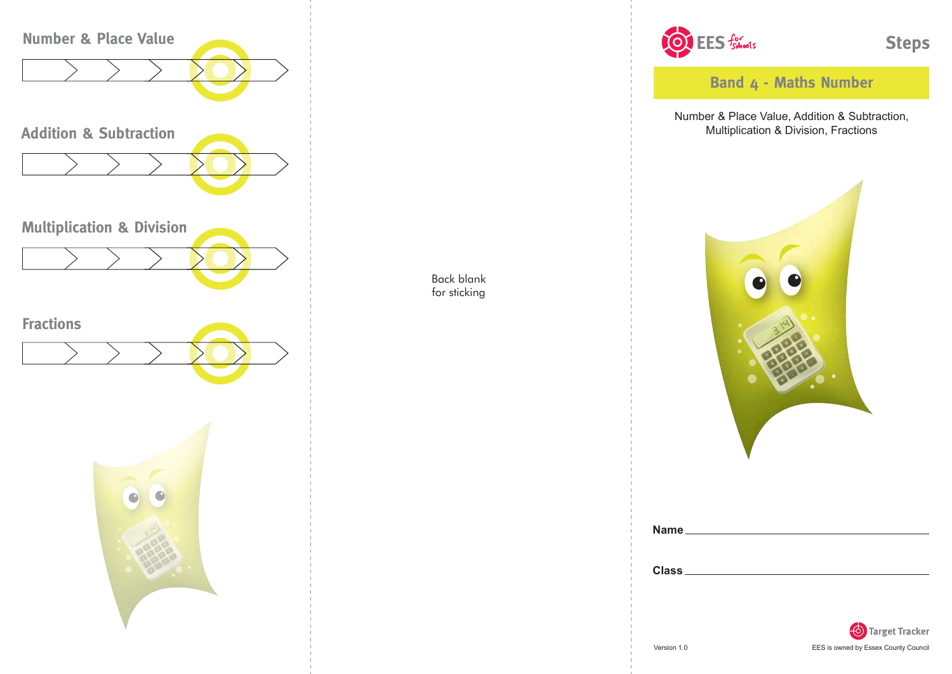

Back blank for sticking



**Band 4 - Maths Number**

Number & Place Value, Addition & Subtraction, Multiplication & Division, Fractions



| Class |  |  |  |
|-------|--|--|--|